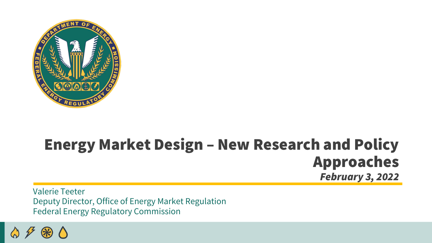

#### Energy Market Design – New Research and Policy Approaches *February 3, 2022*

Valerie Teeter Deputy Director, Office of Energy Market Regulation Federal Energy Regulatory Commission

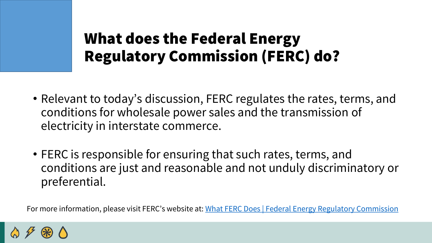### What does the Federal Energy Regulatory Commission (FERC) do?

- Relevant to today's discussion, FERC regulates the rates, terms, and conditions for wholesale power sales and the transmission of electricity in interstate commerce.
- FERC is responsible for ensuring that such rates, terms, and conditions are just and reasonable and not unduly discriminatory or preferential.

For more information, please visit FERC's website at: [What FERC Does | Federal Energy Regulatory Commission](https://www.ferc.gov/about/what-ferc/what-ferc-does)

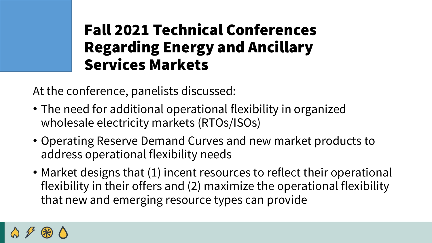# Fall 2021 Technical Conferences Regarding Energy and Ancillary Services Markets

At the conference, panelists discussed:

- The need for additional operational flexibility in organized wholesale electricity markets (RTOs/ISOs)
- Operating Reserve Demand Curves and new market products to address operational flexibility needs
- Market designs that (1) incent resources to reflect their operational flexibility in their offers and (2) maximize the operational flexibility that new and emerging resource types can provide

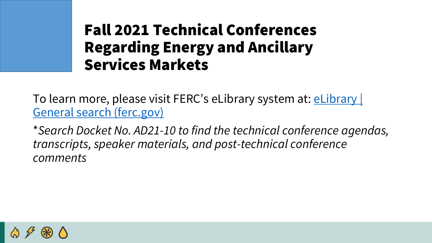### Fall 2021 Technical Conferences Regarding Energy and Ancillary Services Markets

[To learn more, please visit FERC's](https://elibrary.ferc.gov/eLibrary/search) eLibrary system at: eLibrary | General search (ferc.gov)

\**Search Docket No. AD21-10 to find the technical conference agendas, transcripts, speaker materials, and post-technical conference comments*

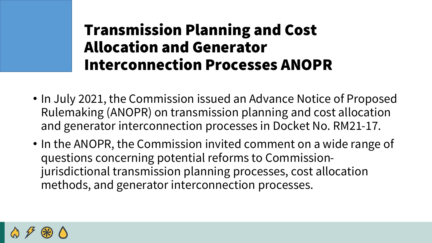# Transmission Planning and Cost Allocation and Generator Interconnection Processes ANOPR

- In July 2021, the Commission issued an Advance Notice of Proposed Rulemaking (ANOPR) on transmission planning and cost allocation and generator interconnection processes in Docket No. RM21-17.
- In the ANOPR, the Commission invited comment on a wide range of questions concerning potential reforms to Commissionjurisdictional transmission planning processes, cost allocation methods, and generator interconnection processes.

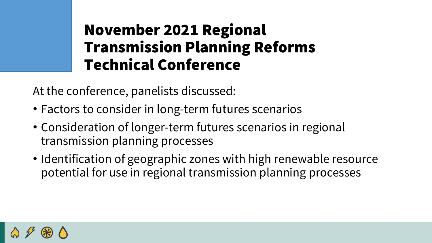# November 2021 Regional Transmission Planning Reforms Technical Conference

At the conference, panelists discussed:

- Factors to consider in long-term futures scenarios
- Consideration of longer-term futures scenarios in regional transmission planning processes
- Identification of geographic zones with high renewable resource potential for use in regional transmission planning processes

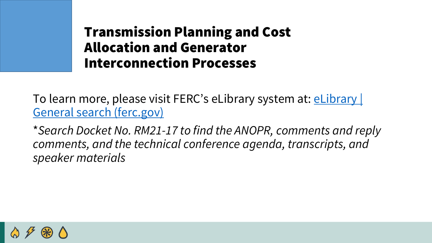#### Transmission Planning and Cost Allocation and Generator Interconnection Processes

[To learn more, please visit FERC's](https://elibrary.ferc.gov/eLibrary/search) eLibrary system at: **eLibrary** | General search (ferc.gov)

\**Search Docket No. RM21-17 to find the ANOPR, comments and reply comments, and the technical conference agenda, transcripts, and speaker materials*